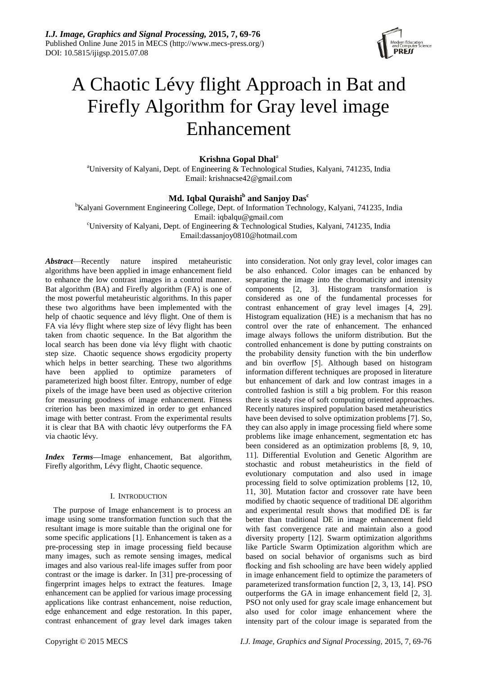

# A Chaotic Lévy flight Approach in Bat and Firefly Algorithm for Gray level image Enhancement

# **Krishna Gopal Dhal**<sup>a</sup>

<sup>a</sup>University of Kalyani, Dept. of Engineering & Technological Studies, Kalyani, 741235, India Email: krishnacse42@gmail.com

# **Md. Iqbal Quraishi<sup>b</sup> and Sanjoy Das<sup>c</sup>**

<sup>b</sup>Kalyani Government Engineering College, Dept. of Information Technology, Kalyani, 741235, India

Email: [iqbalqu@gmail.com](mailto:iqbalqu@gmail.com)

<sup>c</sup>University of Kalyani, Dept. of Engineering & Technological Studies, Kalyani, 741235, India

Email:dassanjoy0810@hotmail.com

*Abstract*—Recently nature inspired metaheuristic algorithms have been applied in image enhancement field to enhance the low contrast images in a control manner. Bat algorithm (BA) and Firefly algorithm (FA) is one of the most powerful metaheuristic algorithms. In this paper these two algorithms have been implemented with the help of chaotic sequence and lévy flight. One of them is FA via lévy flight where step size of lévy flight has been taken from chaotic sequence. In the Bat algorithm the local search has been done via lévy flight with chaotic step size. Chaotic sequence shows ergodicity property which helps in better searching. These two algorithms have been applied to optimize parameters of parameterized high boost filter. Entropy, number of edge pixels of the image have been used as objective criterion for measuring goodness of image enhancement. Fitness criterion has been maximized in order to get enhanced image with better contrast. From the experimental results it is clear that BA with chaotic lévy outperforms the FA via chaotic lévy.

*Index Terms***—**Image enhancement, Bat algorithm, Firefly algorithm, Lévy flight, Chaotic sequence.

# I. INTRODUCTION

The purpose of Image enhancement is to process an image using some transformation function such that the resultant image is more suitable than the original one for some specific applications [1]. Enhancement is taken as a pre-processing step in image processing field because many images, such as remote sensing images, medical images and also various real-life images suffer from poor contrast or the image is darker. In [31] pre-processing of fingerprint images helps to extract the features. Image enhancement can be applied for various image processing applications like contrast enhancement, noise reduction, edge enhancement and edge restoration. In this paper, contrast enhancement of gray level dark images taken

into consideration. Not only gray level, color images can be also enhanced. Color images can be enhanced by separating the image into the chromaticity and intensity components [2, 3]. Histogram transformation is considered as one of the fundamental processes for contrast enhancement of gray level images [4, 29]. Histogram equalization (HE) is a mechanism that has no control over the rate of enhancement. The enhanced image always follows the uniform distribution. But the controlled enhancement is done by putting constraints on the probability density function with the bin underflow and bin overflow [5]. Although based on histogram information different techniques are proposed in literature but enhancement of dark and low contrast images in a controlled fashion is still a big problem. For this reason there is steady rise of soft computing oriented approaches. Recently natures inspired population based metaheuristics have been devised to solve optimization problems [7]. So, they can also apply in image processing field where some problems like image enhancement, segmentation etc has been considered as an optimization problems [8, 9, 10, 11]. Differential Evolution and Genetic Algorithm are stochastic and robust metaheuristics in the field of evolutionary computation and also used in image processing field to solve optimization problems [12, 10, 11, 30]. Mutation factor and crossover rate have been modified by chaotic sequence of traditional DE algorithm and experimental result shows that modified DE is far better than traditional DE in image enhancement field with fast convergence rate and maintain also a good diversity property [12]. Swarm optimization algorithms like Particle Swarm Optimization algorithm which are based on social behavior of organisms such as bird flocking and fish schooling are have been widely applied in image enhancement field to optimize the parameters of parameterized transformation function [2, 3, 13, 14]. PSO outperforms the GA in image enhancement field [2, 3]. PSO not only used for gray scale image enhancement but also used for color image enhancement where the intensity part of the colour image is separated from the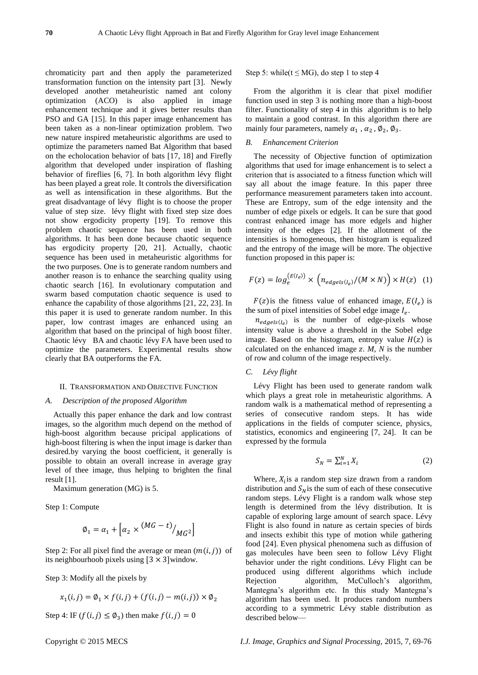chromaticity part and then apply the parameterized transformation function on the intensity part [3]. Newly developed another metaheuristic named ant colony optimization (ACO) is also applied in image enhancement technique and it gives better results than PSO and GA [15]. In this paper image enhancement has been taken as a non-linear optimization problem. Two new nature inspired metaheuristic algorithms are used to optimize the parameters named Bat Algorithm that based on the echolocation behavior of bats [17, 18] and Firefly algorithm that developed under inspiration of flashing behavior of fireflies [6, 7]. In both algorithm lévy flight has been played a great role. It controls the diversification as well as intensification in these algorithms. But the great disadvantage of lévy flight is to choose the proper value of step size. lévy flight with fixed step size does not show ergodicity property [19]. To remove this problem chaotic sequence has been used in both algorithms. It has been done because chaotic sequence has ergodicity property [20, 21]. Actually, chaotic sequence has been used in metaheuristic algorithms for the two purposes. One is to generate random numbers and another reason is to enhance the searching quality using chaotic search [16]. In evolutionary computation and swarm based computation chaotic sequence is used to enhance the capability of those algorithms [21, 22, 23]. In this paper it is used to generate random number. In this paper, low contrast images are enhanced using an algorithm that based on the principal of high boost filter. Chaotic lévy BA and chaotic lévy FA have been used to optimize the parameters. Experimental results show clearly that BA outperforms the FA.

#### II. TRANSFORMATION AND OBJECTIVE FUNCTION

# *A. Description of the proposed Algorithm*

Actually this paper enhance the dark and low contrast images, so the algorithm much depend on the method of high-boost algorithm because pricipal applications of high-boost filtering is when the input image is darker than desired.by varying the boost coefficient, it generally is possible to obtain an overall increase in average gray level of thee image, thus helping to brighten the final result [1].

Maximum generation (MG) is 5.

Step 1: Compute

$$
\emptyset_1 = \alpha_1 + \left[ \alpha_2 \times \frac{(MG - t)}{MG^2} \right]
$$

Step 2: For all pixel find the average or mean  $(m(i, j))$  of its neighbourhoob pixels using  $[3 \times 3]$  window.

Step 3: Modify all the pixels by

$$
x_1(i,j) = \emptyset_1 \times f(i,j) + (f(i,j) - m(i,j)) \times \emptyset_2
$$

Step 4: IF  $(f(i, j) \leq \emptyset_3)$  then make  $f(i, j)$  =

Step 5: while  $(t \leq MG)$ , do step 1 to step 4

From the algorithm it is clear that pixel modifier function used in step 3 is nothing more than a high-boost filter. Functionality of step 4 in this algorithm is to help to maintain a good contrast. In this algorithm there are mainly four parameters, namely  $\alpha_1$ ,  $\alpha_2$ ,  $\phi_2$ ,  $\phi_3$ .

## *B. Enhancement Criterion*

The necessity of Objective function of optimization algorithms that used for image enhancement is to select a criterion that is associated to a fitness function which will say all about the image feature. In this paper three performance measurement parameters taken into account. These are Entropy, sum of the edge intensity and the number of edge pixels or edgels. It can be sure that good contrast enhanced image has more edgels and higher intensity of the edges [2]. If the allotment of the intensities is homogeneous, then histogram is equalized and the entropy of the image will be more. The objective function proposed in this paper is:

$$
F(z) = \log_e^{(E(I_e))} \times \left( n_{edges(I_e)} / (M \times N) \right) \times H(z) \quad (1)
$$

 $F(z)$  is the fitness value of enhanced image,  $E(I_e)$  is the sum of pixel intensities of Sobel edge image  $I_e$ .

 $n_{edges(I_e)}$  is the number of edge-pixels whose intensity value is above a threshold in the Sobel edge image. Based on the histogram, entropy value  $H(z)$  is calculated on the enhanced image  $Z$ .  $M$ ,  $N$  is the number of row and column of the image respectively.

# *C. Lévy flight*

Lévy Flight has been used to generate random walk which plays a great role in metaheuristic algorithms. A random walk is a mathematical method of representing a series of consecutive random steps. It has wide applications in the fields of computer science, physics, statistics, economics and engineering [7, 24].It can be expressed by the formula

$$
S_N = \sum_{i=1}^N X_i \tag{2}
$$

Where,  $X_i$  is a random step size drawn from a random distribution and  $S_N$  is the sum of each of these consecutive random steps. Lévy Flight is a random walk whose step length is determined from the lévy distribution. It is capable of exploring large amount of search space. Lévy Flight is also found in nature as certain species of birds and insects exhibit this type of motion while gathering food [24]. Even physical phenomena such as diffusion of gas molecules have been seen to follow Lévy Flight behavior under the right conditions. Lévy Flight can be produced using different algorithms which include Rejection algorithm, McCulloch's algorithm, Mantegna's algorithm etc. In this study Mantegna's algorithm has been used. It produces random numbers according to a symmetric Lévy stable distribution as described below—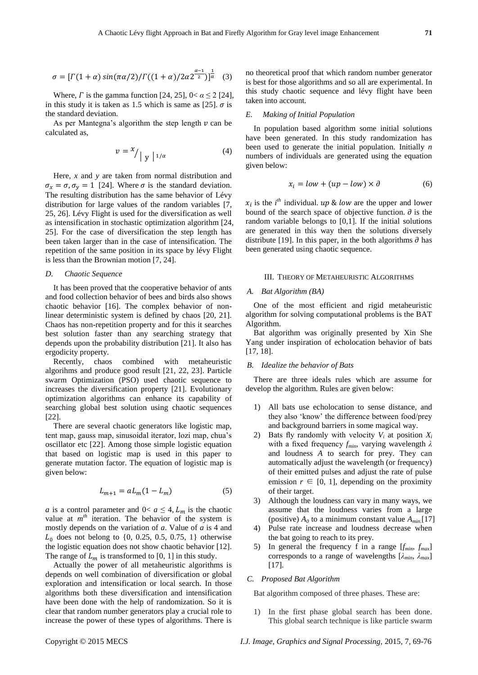$$
\sigma = [ \Gamma(1+\alpha) \sin(\pi \alpha/2) / \Gamma((1+\alpha)/2\alpha 2^{\frac{\alpha-1}{2}})]^{\frac{1}{\alpha}} \quad (3)
$$

Where,  $\Gamma$  is the gamma function [24, 25],  $0 < \alpha \le 2$  [24], in this study it is taken as 1.5 which is same as [25].  $\sigma$  is the standard deviation.

As per Mantegna's algorithm the step length  $\nu$  can be calculated as,

$$
v = \frac{x}{\vert y \vert^{1/\alpha}} \tag{4}
$$

Here, *x* and *y* are taken from normal distribution and  $\sigma_x = \sigma$ ,  $\sigma_y = 1$  [24]. Where  $\sigma$  is the standard deviation. The resulting distribution has the same behavior of Lévy distribution for large values of the random variables [7, 25, 26]. Lévy Flight is used for the diversification as well as intensification in stochastic optimization algorithm [24, 25]. For the case of diversification the step length has been taken larger than in the case of intensification. The repetition of the same position in its space by lévy Flight is less than the Brownian motion [7, 24].

#### *D. Chaotic Sequence*

It has been proved that the cooperative behavior of ants and food collection behavior of bees and birds also shows chaotic behavior [16]. The complex behavior of nonlinear deterministic system is defined by chaos [20, 21]. Chaos has non-repetition property and for this it searches best solution faster than any searching strategy that depends upon the probability distribution [21]. It also has ergodicity property.

Recently, chaos combined with metaheuristic algorihms and produce good result [21, 22, 23]. Particle swarm Optimization (PSO) used chaotic sequence to increases the diversification property [21]. Evolutionary optimization algorithms can enhance its capability of searching global best solution using chaotic sequences [22].

There are several chaotic generators like logistic map, tent map, gauss map, sinusoidal iterator, lozi map, chua's oscillator etc [22]. Among those simple logistic equation that based on logistic map is used in this paper to generate mutation factor. The equation of logistic map is given below:

$$
L_{m+1} = aL_m(1 - L_m)
$$
 (5)

*a* is a control parameter and  $0 < a \leq 4$ ,  $L_m$  is the chaotic value at  $m<sup>th</sup>$  iteration. The behavior of the system is mostly depends on the variation of *a*. Value of *a* is 4 and  $L_0$  does not belong to {0, 0.25, 0.5, 0.75, 1} otherwise the logistic equation does not show chaotic behavior [12]. The range of  $L_m$  is transformed to [0, 1] in this study.

Actually the power of all metaheuristic algorithms is depends on well combination of diversification or global exploration and intensification or local search. In those algorithms both these diversification and intensification have been done with the help of randomization. So it is clear that random number generators play a crucial role to increase the power of these types of algorithms. There is

no theoretical proof that which random number generator is best for those algorithms and so all are experimental. In this study chaotic sequence and lévy flight have been taken into account.

## *E. Making of Initial Population*

In population based algorithm some initial solutions have been generated. In this study randomization has been used to generate the initial population. Initially *n*  numbers of individuals are generated using the equation given below:

$$
x_i = low + (up - low) \times \partial \tag{6}
$$

 $x_i$  is the *i*<sup>th</sup> individual. up & low are the upper and lower bound of the search space of objective function.  $\partial$  is the random variable belongs to [0,1]. If the initial solutions are generated in this way then the solutions diversely distribute [19]. In this paper, in the both algorithms  $\partial$  has been generated using chaotic sequence.

## III. THEORY OF METAHEURISTIC ALGORITHMS

#### *A. Bat Algorithm (BA)*

One of the most efficient and rigid metaheuristic algorithm for solving computational problems is the BAT Algorithm.

Bat algorithm was originally presented by Xin She Yang under inspiration of echolocation behavior of bats [17, 18].

# *B. Idealize the behavior of Bats*

There are three ideals rules which are assume for develop the algorithm. Rules are given below:

- 1) All bats use echolocation to sense distance, and they also 'know' the difference between food/prey and background barriers in some magical way.
- 2) Bats fly randomly with velocity  $V_i$  at position  $X_i$ with a fixed frequency *fmin*, varying wavelength *λ* and loudness *A* to search for prey. They can automatically adjust the wavelength (or frequency) of their emitted pulses and adjust the rate of pulse emission  $r \in [0, 1]$ , depending on the proximity of their target.
- 3) Although the loudness can vary in many ways, we assume that the loudness varies from a large (positive)  $A_0$  to a minimum constant value  $A_{min}$ [17]
- Pulse rate increase and loudness decrease when the bat going to reach to its prey.
- 5) In general the frequency f in a range  $[f_{min}, f_{max}]$ corresponds to a range of wavelengths [*λmin, λmax*] [17].

# *C. Proposed Bat Algorithm*

Bat algorithm composed of three phases. These are:

1) In the first phase global search has been done. This global search technique is like particle swarm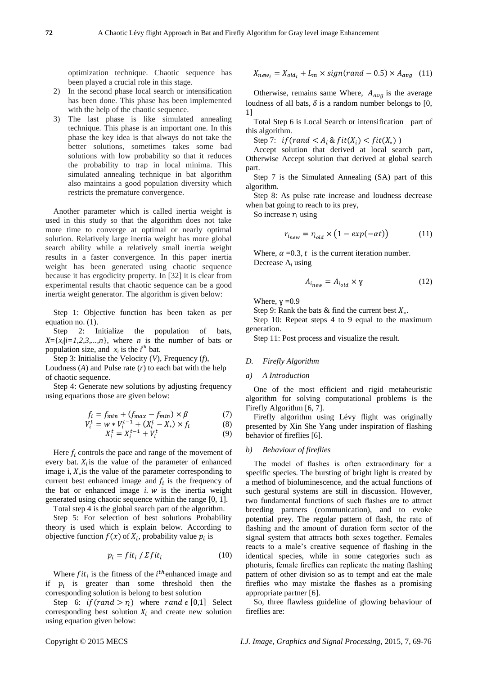optimization technique. Chaotic sequence has been played a crucial role in this stage.

- 2) In the second phase local search or intensification has been done. This phase has been implemented with the help of the chaotic sequence.
- 3) The last phase is like simulated annealing technique. This phase is an important one. In this phase the key idea is that always do not take the better solutions, sometimes takes some bad solutions with low probability so that it reduces the probability to trap in local minima. This simulated annealing technique in bat algorithm also maintains a good population diversity which restricts the premature convergence.

Another parameter which is called inertia weight is used in this study so that the algorithm does not take more time to converge at optimal or nearly optimal solution. Relatively large inertia weight has more global search ability while a relatively small inertia weight results in a faster convergence. In this paper inertia weight has been generated using chaotic sequence because it has ergodicity property. In [32] it is clear from experimental results that chaotic sequence can be a good inertia weight generator. The algorithm is given below:

Step 1: Objective function has been taken as per equation no. (1).

Step 2: Initialize the population of bats,  $X = \{x_i | i = 1, 2, 3, \dots, n\}$ , where *n* is the number of bats or population size, and  $x_i$  is the  $i^{th}$  bat.

Step 3: Initialise the Velocity (*V*), Frequency (*f*), Loudness (*A*) and Pulse rate (*r*) to each bat with the help of chaotic sequence.

Step 4: Generate new solutions by adjusting frequency using equations those are given below:

$$
f_i = f_{min} + (f_{max} - f_{min}) \times \beta \tag{7}
$$

$$
V_i^t = w * V_i^{t-1} + (X_i^t - X_*) \times f_i \tag{8}
$$

$$
X_i^t = X_i^{t-1} + V_i^t \tag{9}
$$

Here  $f_i$  controls the pace and range of the movement of every bat.  $X_i$  is the value of the parameter of enhanced image i,  $X_*$  is the value of the parameter corresponding to current best enhanced image and  $f_i$  is the frequency of the bat or enhanced image  $i$ .  $w$  is the inertia weight generated using chaotic sequence within the range [0, 1].

Total step 4 is the global search part of the algorithm.

Step 5: For selection of best solutions Probability theory is used which is explain below. According to objective function  $f(x)$  of  $X_i$ , probability value  $p_i$  is

$$
p_i = fit_i / \Sigma fit_i \tag{10}
$$

Where  $fit_i$  is the fitness of the  $i<sup>th</sup>$ enhanced image and if  $p_i$  is greater than some threshold then the corresponding solution is belong to best solution

Step 6:  $if (rand > r_i)$  where rand  $\epsilon [0,1]$  Select corresponding best solution  $X_i$  and create new solution using equation given below:

$$
X_{new_i} = X_{old_i} + L_m \times sign(range) - 0.5) \times A_{avg} \quad (11)
$$

Otherwise, remains same Where,  $A_{\alpha\nu q}$  is the average loudness of all bats,  $\delta$  is a random number belongs to [0, 1]

Total Step 6 is Local Search or intensification part of this algorithm.

Step 7:  $if (rand < A_i \& fit(X_i) < fit(X_*))$ 

Accept solution that derived at local search part, Otherwise Accept solution that derived at global search part.

Step 7 is the Simulated Annealing (SA) part of this algorithm.

Step 8: As pulse rate increase and loudness decrease when bat going to reach to its prey,

So increase  $r_i$  using

$$
r_{i_{new}} = r_{i_{old}} \times (1 - exp(-\alpha t))
$$
 (11)

Where,  $\alpha = 0.3$ , t is the current iteration number. Decrease  $A_i$  using

$$
A_{i_{new}} = A_{i_{old}} \times \mathbf{y}
$$
 (12)

Where,  $y = 0.9$ 

Step 9: Rank the bats & find the current best  $X_*$ .

Step 10: Repeat steps 4 to 9 equal to the maximum generation.

Step 11: Post process and visualize the result.

#### *D. Firefly Algorithm*

# *a) A Introduction*

One of the most efficient and rigid metaheuristic algorithm for solving computational problems is the Firefly Algorithm [6, 7].

Firefly algorithm using Lévy flight was originally presented by Xin She Yang under inspiration of flashing behavior of fireflies [6].

#### *b) Behaviour of fireflies*

The model of flashes is often extraordinary for a specific species. The bursting of bright light is created by a method of bioluminescence, and the actual functions of such gestural systems are still in discussion. However, two fundamental functions of such flashes are to attract breeding partners (communication), and to evoke potential prey. The regular pattern of flash, the rate of flashing and the amount of duration form sector of the signal system that attracts both sexes together. Females reacts to a male's creative sequence of flashing in the identical species, while in some categories such as photuris, female fireflies can replicate the mating flashing pattern of other division so as to tempt and eat the male fireflies who may mistake the flashes as a promising appropriate partner [6].

So, three flawless guideline of glowing behaviour of fireflies are: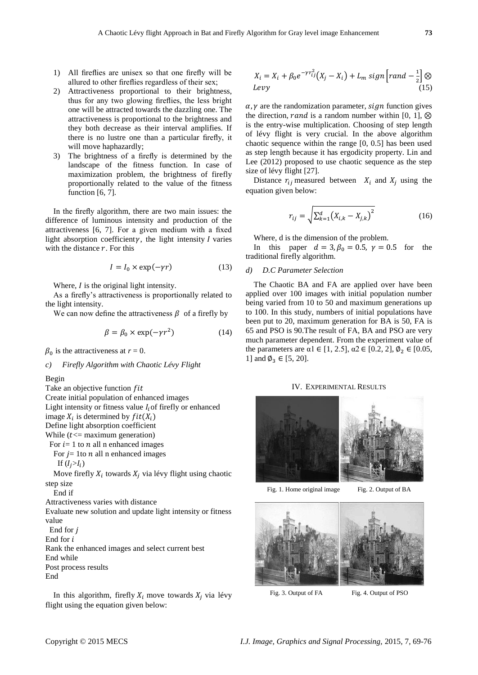- 1) All fireflies are unisex so that one firefly will be allured to other fireflies regardless of their sex;
- 2) Attractiveness proportional to their brightness, thus for any two glowing fireflies, the less bright one will be attracted towards the dazzling one. The attractiveness is proportional to the brightness and they both decrease as their interval amplifies. If there is no lustre one than a particular firefly, it will move haphazardly;
- 3) The brightness of a firefly is determined by the landscape of the fitness function. In case of maximization problem, the brightness of firefly proportionally related to the value of the fitness function [6, 7].

In the firefly algorithm, there are two main issues: the difference of luminous intensity and production of the attractiveness [6, 7]. For a given medium with a fixed light absorption coefficienty, the light intensity  $I$  varies with the distance  $r$ . For this

$$
I = I_0 \times \exp(-\gamma r) \tag{13}
$$

Where,  *is the original light intensity.* 

As a firefly's attractiveness is proportionally related to the light intensity.

We can now define the attractiveness  $\beta$  of a firefly by

$$
\beta = \beta_0 \times \exp(-\gamma r^2) \tag{14}
$$

 $\beta_0$  is the attractiveness at  $r = 0$ .

*c) Firefly Algorithm with Chaotic Lévy Flight*

#### Begin

Take an objective function *fit* Create initial population of enhanced images Light intensity or fitness value  $I_i$  of firefly or enhanced image  $X_i$  is determined by  $fit(X_i)$ Define light absorption coefficient While  $(t \leq$  maximum generation) For  $i=1$  to n all n enhanced images For  $j = 1$ to  $n$  all n enhanced images If  $(I_i > I_i)$ Move firefly  $X_i$  towards  $X_i$  via lévy flight using chaotic step size End if Attractiveness varies with distance Evaluate new solution and update light intensity or fitness value End for  $j$ End for  $i$ Rank the enhanced images and select current best End while Post process results End

In this algorithm, firefly  $X_i$  move towards  $X_i$  via lévy flight using the equation given below:

$$
X_i = X_i + \beta_0 e^{-\gamma r_{ij}^2} (X_j - X_i) + L_m sign \left[ rand - \frac{1}{2} \right] \otimes
$$
  
Levy (15)

 $\alpha$ ,  $\gamma$  are the randomization parameter, sign function gives the direction, rand is a random number within [0, 1],  $\otimes$ is the entry-wise multiplication. Choosing of step length of lévy flight is very crucial. In the above algorithm chaotic sequence within the range [0, 0.5] has been used as step length because it has ergodicity property. Lin and Lee (2012) proposed to use chaotic sequence as the step size of 1 évy flight [27].

Distance  $r_{ij}$  measured between  $X_i$  and  $X_j$  using the equation given below:

$$
r_{ij} = \sqrt{\sum_{k=1}^{d} (X_{i,k} - X_{j,k})^2}
$$
 (16)

Where, d is the dimension of the problem.

In this paper  $d = 3$ ,  $\beta_0 = 0.5$ ,  $\gamma = 0.5$  for the traditional firefly algorithm.

# *d) D.C Parameter Selection*

The Chaotic BA and FA are applied over have been applied over 100 images with initial population number being varied from 10 to 50 and maximum generations up to 100. In this study, numbers of initial populations have been put to 20, maximum generation for BA is 50, FA is 65 and PSO is 90.The result of FA, BA and PSO are very much parameter dependent. From the experiment value of the parameters are  $\alpha$ 1 ∈ [1, 2.5],  $\alpha$ 2 ∈ [0.2, 2],  $\emptyset$ <sub>2</sub> ∈ [0.05, 1] and  $\emptyset_3 \in [5, 20]$ .

#### IV. EXPERIMENTAL RESULTS



Fig. 1. Home original image Fig. 2. Output of BA



Fig. 3. Output of FA Fig. 4. Output of PSO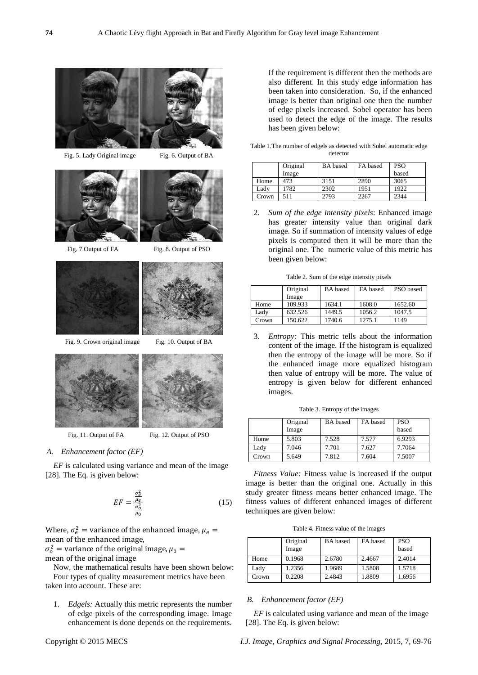

Fig. 5. Lady Original image Fig. 6. Output of BA





Fig. 7. Output of FA Fig. 8. Output of PSO





Fig. 9. Crown original image Fig. 10. Output of BA



Fig. 11. Output of FA Fig. 12. Output of PSO



# *A. Enhancement factor (EF)*

*EF* is calculated using variance and mean of the image [28]. The Eq. is given below:

$$
EF = \frac{\frac{\sigma_e^2}{\mu_e}}{\frac{\sigma_o^2}{\mu_0}}
$$
 (15)

Where,  $\sigma_e^2$  = variance of the enhanced image, mean of the enhanced image,  $\sigma_o^2$ 

mean of the original image

Now, the mathematical results have been shown below: Four types of quality measurement metrics have been taken into account. These are:

1. *Edgels:* Actually this metric represents the number of edge pixels of the corresponding image. Image enhancement is done depends on the requirements. If the requirement is different then the methods are also different. In this study edge information has been taken into consideration. So, if the enhanced image is better than original one then the number of edge pixels increased. Sobel operator has been used to detect the edge of the image. The results has been given below:

Table 1.The number of edgels as detected with Sobel automatic edge detector

|       | Original | <b>BA</b> based | FA based | <b>PSO</b> |
|-------|----------|-----------------|----------|------------|
|       | Image    |                 |          | based      |
| Home  | 473      | 3151            | 2890     | 3065       |
| Ladv  | 1782     | 2302            | 1951     | 1922       |
| Crown | 511      | 2793            | 2267     | 2344       |

2. *Sum of the edge intensity pixels*: Enhanced image has greater intensity value than original dark image. So if summation of intensity values of edge pixels is computed then it will be more than the original one. The numeric value of this metric has been given below:

|  |  |  |  | Table 2. Sum of the edge intensity pixels |
|--|--|--|--|-------------------------------------------|
|  |  |  |  |                                           |

|       | Original<br>Image | <b>BA</b> based | FA based | PSO based |
|-------|-------------------|-----------------|----------|-----------|
| Home  | 109.933           | 1634.1          | 1608.0   | 1652.60   |
| Ladv  | 632.526           | 1449.5          | 1056.2   | 1047.5    |
| Crown | 150.622           | 1740.6          | 1275.1   | 1149      |

3. *Entropy:* This metric tells about the information content of the image. If the histogram is equalized then the entropy of the image will be more. So if the enhanced image more equalized histogram then value of entropy will be more. The value of entropy is given below for different enhanced images.

|       | Original<br>Image | <b>BA</b> based | FA based | <b>PSO</b><br>based |
|-------|-------------------|-----------------|----------|---------------------|
| Home  | 5.803             | 7.528           | 7.577    | 6.9293              |
| Lady  | 7.046             | 7.701           | 7.627    | 7.7064              |
| Crown | 5.649             | 7.812           | 7.604    | 7.5007              |

Table 3. Entropy of the images

*Fitness Value:* Fitness value is increased if the output image is better than the original one. Actually in this study greater fitness means better enhanced image. The fitness values of different enhanced images of different techniques are given below:

Table 4. Fitness value of the images

|       | Original<br>Image | <b>BA</b> based | FA based | <b>PSO</b><br>based |
|-------|-------------------|-----------------|----------|---------------------|
| Home  | 0.1968            | 2.6780          | 2.4667   | 2.4014              |
| Lady  | 1.2356            | 1.9689          | 1.5808   | 1.5718              |
| Crown | 0.2208            | 2.4843          | 1.8809   | 1.6956              |

# *B. Enhancement factor (EF)*

*EF* is calculated using variance and mean of the image [28]. The Eq. is given below: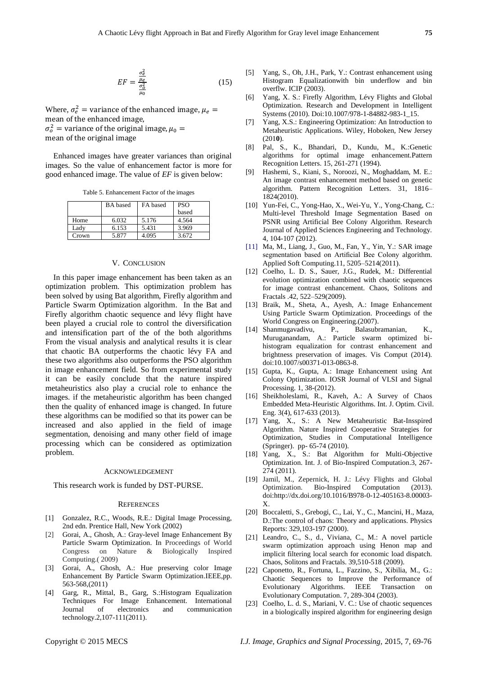$$
EF = \frac{\frac{\sigma_e^2}{\mu_e}}{\frac{\sigma_o^2}{\mu_0}}
$$
 (15)

Where,  $\sigma_e^2$  = variance of the enhanced image, mean of the enhanced image,  $\sigma_o^2$ mean of the original image

Enhanced images have greater variances than original images. So the value of enhancement factor is more for good enhanced image. The value of *EF* is given below:

Table 5. Enhancement Factor of the images

|       | <b>BA</b> based | FA based | <b>PSO</b> |
|-------|-----------------|----------|------------|
|       |                 |          | based      |
| Home  | 6.032           | 5.176    | 4.564      |
| Ladv  | 6.153           | 5.431    | 3.969      |
| Crown | 5.877           | 4.095    | 3.672      |

#### V. CONCLUSION

In this paper image enhancement has been taken as an optimization problem. This optimization problem has been solved by using Bat algorithm, Firefly algorithm and Particle Swarm Optimization algorithm. In the Bat and Firefly algorithm chaotic sequence and lévy flight have been played a crucial role to control the diversification and intensification part of the of the both algorithms From the visual analysis and analytical results it is clear that chaotic BA outperforms the chaotic lévy FA and these two algorithms also outperforms the PSO algorithm in image enhancement field. So from experimental study it can be easily conclude that the nature inspired metaheuristics also play a crucial role to enhance the images. if the metaheuristic algorithm has been changed then the quality of enhanced image is changed. In future these algorithms can be modified so that its power can be increased and also applied in the field of image segmentation, denoising and many other field of image processing which can be considered as optimization problem.

#### ACKNOWLEDGEMENT

This research work is funded by DST-PURSE.

#### **REFERENCES**

- [1] Gonzalez, R.C., Woods, R.E.: Digital Image Processing, 2nd edn. Prentice Hall, New York (2002)
- [2] Gorai, A., Ghosh, A.: Gray-level Image Enhancement By Particle Swarm Optimization. In Proceedings of World Congress on Nature & Biologically Inspired Computing.( 2009)
- [3] Gorai, A., Ghosh, A.: Hue preserving color Image Enhancement By Particle Swarm Optimization.IEEE,pp. 563-568,(2011)
- [4] Garg, R., Mittal, B., Garg, S.:Histogram Equalization Techniques For Image Enhancement. International Journal of electronics and communication technology.2,107-111(2011).
- [5] Yang, S., Oh, J.H., Park, Y.: Contrast enhancement using Histogram Equalizationwith bin underflow and bin overflw. ICIP (2003).
- [6] Yang, X. S.: Firefly Algorithm, Lévy Flights and Global Optimization. Research and Development in Intelligent Systems (2010). Doi:10.1007/978-1-84882-983-1\_15.
- [7] Yang, X.S.: Engineering Optimization: An Introduction to Metaheuristic Applications. Wiley, Hoboken, New Jersey (201**0**).
- [8] Pal, S., K., Bhandari, D., Kundu, M., K.:Genetic algorithms for optimal image enhancement.Pattern Recognition Letters. 15, 261-271 (1994).
- [9] Hashemi, S., Kiani, S., Noroozi, N., Moghaddam, M. E.: An image contrast enhancement method based on genetic algorithm. Pattern Recognition Letters. 31, 1816– 1824(2010).
- [10] Yun-Fei, C., Yong-Hao, X., Wei-Yu, Y., Yong-Chang, C.: Multi-level Threshold Image Segmentation Based on PSNR using Artificial Bee Colony Algorithm. Research Journal of Applied Sciences Engineering and Technology. 4, 104-107 (2012).
- [11] Ma, M., Liang, J., Guo, M., Fan, Y., Yin, Y.: SAR image segmentation based on Artificial Bee Colony algorithm. Applied Soft Computing.11, 5205–5214(2011).
- [12] Coelho, L. D. S., Sauer, J.G., Rudek, M.: Differential evolution optimization combined with chaotic sequences for image contrast enhancement. Chaos, Solitons and Fractals .42, 522–529(2009).
- [13] Braik, M., Sheta, A., Ayesh, A.: Image Enhancement Using Particle Swarm Optimization. Proceedings of the World Congress on Engineering.(2007).
- [14] Shanmugavadivu, P., Balasubramanian, K., Muruganandam, A.: Particle swarm optimized bihistogram equalization for contrast enhancement and brightness preservation of images. Vis Comput (2014). doi:10.1007/s00371-013-0863-8.
- [15] Gupta, K., Gupta, A.: Image Enhancement using Ant Colony Optimization. IOSR Journal of VLSI and Signal Processing. 1, 38-(2012).
- [16] Sheikholeslami, R., Kaveh, A.: A Survey of Chaos Embedded Meta-Heuristic Algorithms. Int. J. Optim. Civil. Eng. 3(4), 617-633 (2013).
- [17] Yang, X., S.: A New Metaheuristic Bat-Insspired Algorithm. Nature Inspired Cooperative Strategies for Optimization, Studies in Computational Intelligence (Springer). pp- 65-74 (2010).
- [18] Yang, X., S.: Bat Algorithm for Multi-Objective Optimization. Int. J. of Bio-Inspired Computation.3, 267- 274 (2011).
- [19] Jamil, M., Zepernick, H. J.: Lévy Flights and Global Optimization. Bio-Inspired Computation (2013). doi:http://dx.doi.org/10.1016/B978-0-12-405163-8.00003- X.
- [20] Boccaletti, S., Grebogi, C., Lai, Y., C., Mancini, H., Maza, D.:The control of chaos: Theory and applications. Physics Reports: 329,103-197 (2000).
- [21] Leandro, C., S., d., Viviana, C., M.: A novel particle swarm optimization approach using Henon map and implicit filtering local search for economic load dispatch. Chaos, Solitons and Fractals. 39,510-518 (2009).
- [22] Caponetto, R., Fortuna, L., Fazzino, S., Xibilia, M., G.: Chaotic Sequences to Improve the Performance of Evolutionary Algorithms. IEEE Transaction on Evolutionary Computation. 7, 289-304 (2003).
- [23] Coelho, L. d. S., Mariani, V. C.: Use of chaotic sequences in a biologically inspired algorithm for engineering design